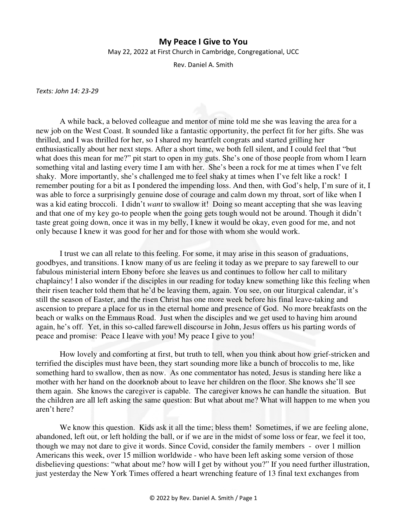## **My Peace I Give to You**

May 22, 2022 at First Church in Cambridge, Congregational, UCC

Rev. Daniel A. Smith

*Texts: John 14: 23-29* 

A while back, a beloved colleague and mentor of mine told me she was leaving the area for a new job on the West Coast. It sounded like a fantastic opportunity, the perfect fit for her gifts. She was thrilled, and I was thrilled for her, so I shared my heartfelt congrats and started grilling her enthusiastically about her next steps. After a short time, we both fell silent, and I could feel that "but what does this mean for me?" pit start to open in my guts. She's one of those people from whom I learn something vital and lasting every time I am with her. She's been a rock for me at times when I've felt shaky. More importantly, she's challenged me to feel shaky at times when I've felt like a rock! I remember pouting for a bit as I pondered the impending loss. And then, with God's help, I'm sure of it, I was able to force a surprisingly genuine dose of courage and calm down my throat, sort of like when I was a kid eating broccoli. I didn't *want* to swallow it! Doing so meant accepting that she was leaving and that one of my key go-to people when the going gets tough would not be around. Though it didn't taste great going down, once it was in my belly, I knew it would be okay, even good for me, and not only because I knew it was good for her and for those with whom she would work.

I trust we can all relate to this feeling. For some, it may arise in this season of graduations, goodbyes, and transitions. I know many of us are feeling it today as we prepare to say farewell to our fabulous ministerial intern Ebony before she leaves us and continues to follow her call to military chaplaincy! I also wonder if the disciples in our reading for today knew something like this feeling when their risen teacher told them that he'd be leaving them, again. You see, on our liturgical calendar, it's still the season of Easter, and the risen Christ has one more week before his final leave-taking and ascension to prepare a place for us in the eternal home and presence of God. No more breakfasts on the beach or walks on the Emmaus Road. Just when the disciples and we get used to having him around again, he's off. Yet, in this so-called farewell discourse in John, Jesus offers us his parting words of peace and promise: Peace I leave with you! My peace I give to you!

How lovely and comforting at first, but truth to tell, when you think about how grief-stricken and terrified the disciples must have been, they start sounding more like a bunch of broccolis to me, like something hard to swallow, then as now. As one commentator has noted, Jesus is standing here like a mother with her hand on the doorknob about to leave her children on the floor. She knows she'll see them again. She knows the caregiver is capable. The caregiver knows he can handle the situation. But the children are all left asking the same question: But what about me? What will happen to me when you aren't here?

We know this question. Kids ask it all the time; bless them! Sometimes, if we are feeling alone, abandoned, left out, or left holding the ball, or if we are in the midst of some loss or fear, we feel it too, though we may not dare to give it words. Since Covid, consider the family members - over 1 million Americans this week, over 15 million worldwide - who have been left asking some version of those disbelieving questions: "what about me? how will I get by without you?" If you need further illustration, just yesterday the New York Times offered a heart wrenching feature of 13 final text exchanges from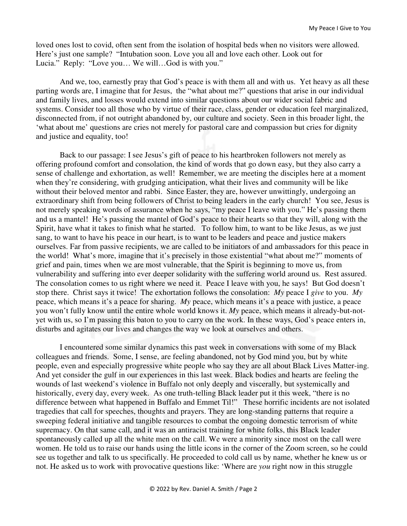loved ones lost to covid, often sent from the isolation of hospital beds when no visitors were allowed. Here's just one sample? "Intubation soon. Love you all and love each other. Look out for Lucia." Reply: "Love you… We will…God is with you."

And we, too, earnestly pray that God's peace is with them all and with us. Yet heavy as all these parting words are, I imagine that for Jesus, the "what about me?" questions that arise in our individual and family lives, and losses would extend into similar questions about our wider social fabric and systems. Consider too all those who by virtue of their race, class, gender or education feel marginalized, disconnected from, if not outright abandoned by, our culture and society. Seen in this broader light, the 'what about me' questions are cries not merely for pastoral care and compassion but cries for dignity and justice and equality, too!

Back to our passage: I see Jesus's gift of peace to his heartbroken followers not merely as offering profound comfort and consolation, the kind of words that go down easy, but they also carry a sense of challenge and exhortation, as well! Remember, we are meeting the disciples here at a moment when they're considering, with grudging anticipation, what their lives and community will be like without their beloved mentor and rabbi. Since Easter, they are, however unwittingly, undergoing an extraordinary shift from being followers of Christ to being leaders in the early church! You see, Jesus is not merely speaking words of assurance when he says, "my peace I leave with you." He's passing them and us a mantel! He's passing the mantel of God's peace to their hearts so that they will, along with the Spirit, have what it takes to finish what he started. To follow him, to want to be like Jesus, as we just sang, to want to have his peace in our heart, is to want to be leaders and peace and justice makers ourselves. Far from passive recipients, we are called to be initiators of and ambassadors for this peace in the world! What's more, imagine that it's precisely in those existential "what about me?" moments of grief and pain, times when we are most vulnerable, that the Spirit is beginning to move us, from vulnerability and suffering into ever deeper solidarity with the suffering world around us. Rest assured. The consolation comes to us right where we need it. Peace I leave with you, he says! But God doesn't stop there. Christ says it twice! The exhortation follows the consolation: *My* peace I *give* to you. *My* peace, which means it's a peace for sharing. *My* peace, which means it's a peace with justice, a peace you won't fully know until the entire whole world knows it. *My* peace, which means it already-but-notyet with us, so I'm passing this baton to you to carry on the work. In these ways, God's peace enters in, disturbs and agitates our lives and changes the way we look at ourselves and others.

I encountered some similar dynamics this past week in conversations with some of my Black colleagues and friends. Some, I sense, are feeling abandoned, not by God mind you, but by white people, even and especially progressive white people who say they are all about Black Lives Matter-ing. And yet consider the gulf in our experiences in this last week. Black bodies and hearts are feeling the wounds of last weekend's violence in Buffalo not only deeply and viscerally, but systemically and historically, every day, every week. As one truth-telling Black leader put it this week, "there is no difference between what happened in Buffalo and Emmet Til!" These horrific incidents are not isolated tragedies that call for speeches, thoughts and prayers. They are long-standing patterns that require a sweeping federal initiative and tangible resources to combat the ongoing domestic terrorism of white supremacy. On that same call, and it was an antiracist training for white folks, this Black leader spontaneously called up all the white men on the call. We were a minority since most on the call were women. He told us to raise our hands using the little icons in the corner of the Zoom screen, so he could see us together and talk to us specifically. He proceeded to cold call us by name, whether he knew us or not. He asked us to work with provocative questions like: 'Where are *you* right now in this struggle